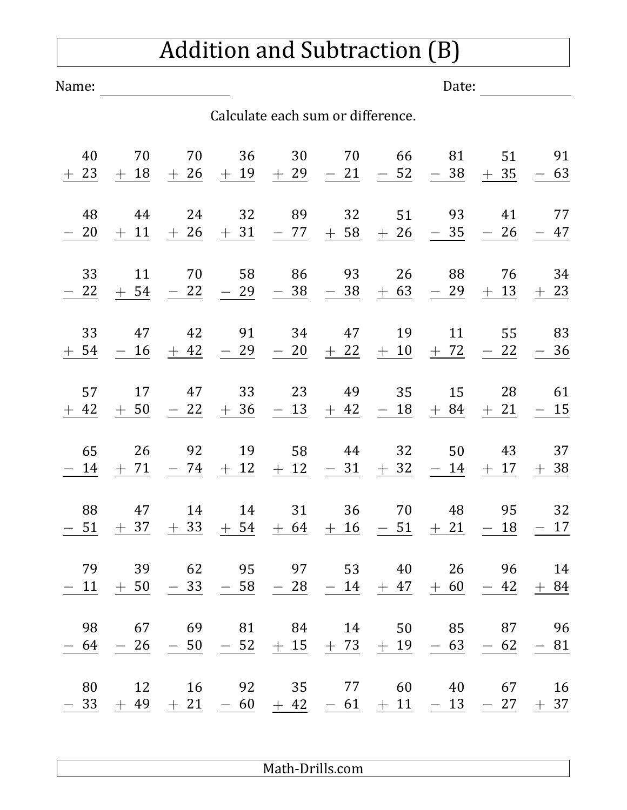## Addition and Subtraction (B)

Name: Date:

## Calculate each sum or difference.

| 40<br>$+$ 23 | 70<br>$+18$     | 70<br>$+26$                          | 36<br>$+19$  | 30<br>$+29$                          | 70<br>21<br>$\overline{\phantom{0}}$           | 66<br>$-52$     | 81<br>38<br>$\overline{\phantom{0}}$ | 51<br>35<br>$+$                      | 91<br>$-63$       |
|--------------|-----------------|--------------------------------------|--------------|--------------------------------------|------------------------------------------------|-----------------|--------------------------------------|--------------------------------------|-------------------|
| 48<br>20     | 44<br>$+11$     | 24<br>$+26$                          | 32<br>$+31$  | 89<br>$-77$                          | 32<br>$+58$                                    | 51<br>$+26$     | 93<br>35<br>$\overline{\phantom{m}}$ | 41<br>26<br>$\overline{\phantom{0}}$ | 77<br>$-47$       |
| 33<br>22     | 11<br>$+$ 54    | 70<br>22<br>$\overline{\phantom{0}}$ | 58<br>$-29$  | 86<br>38<br>$\overline{\phantom{0}}$ | 93<br>38                                       | 26<br>$+ 63$    | 88<br>29<br>$\overline{\phantom{0}}$ | 76<br>13<br>$+$                      | 34<br>$+23$       |
| 33<br>$+54$  | 47<br>$-16$     | 42<br>$+42$                          | 91<br>$-29$  | 34<br>$-20$                          | 47<br>$+22$                                    | 19<br>$+10$     | 11<br>$+ 72$                         | 55<br>22                             | 83<br>$-36$       |
| 57<br>$+42$  | 17<br>$+50$     | 47<br>22<br>$\overline{\phantom{0}}$ | 33<br>$+36$  | 23<br>$-13$                          | 49<br>$+42$                                    | 35<br>$-18$     | 15<br>$+84$                          | 28<br>$+21$                          | 61<br>$-15$       |
| 65<br>14     | 26<br>$+71$     | 92<br>$-74$                          | 19<br>$+12$  | 58<br>$+12$                          | 44<br>$-31$                                    | 32<br>$+32$     | 50<br>$-14$                          | 43<br>$+17$                          | 37<br>$+38$       |
| 88<br>$-51$  | 47<br>$+37$     | 14<br>$+33$                          | 14<br>$+$ 54 | 31<br>$+64$                          | 36<br>$+16$                                    | 70<br>$-51$     | 48<br>$+21$                          | 95<br>18<br>$\overline{\phantom{0}}$ | 32<br>$-17$       |
| 79<br>11     | 39<br>50<br>$+$ | 62<br>33                             | 95<br>58     | 97<br>28<br>$\overline{\phantom{0}}$ | 53<br>14<br>$\overline{\phantom{0}}$           | 40<br>47<br>$+$ | 26<br>60<br>$+$                      | 96<br>42                             | 14<br>$+84$       |
| 98<br>- 64   | 67 69<br>$-26$  | $-50$                                |              |                                      | 81 84 14 50 85 87<br>$-52$ + 15 + 73 + 19 - 63 |                 |                                      | $-62$                                | 96<br>$-81$       |
| 80<br>$-33$  | 12              | 16<br>$+ 49 + 21$                    | 92           | 35 77                                | $-60 + 42 - 61 + 11 - 13$                      |                 | 60 40 67                             |                                      | 16<br>$-27$ $+37$ |

Math-Drills.com